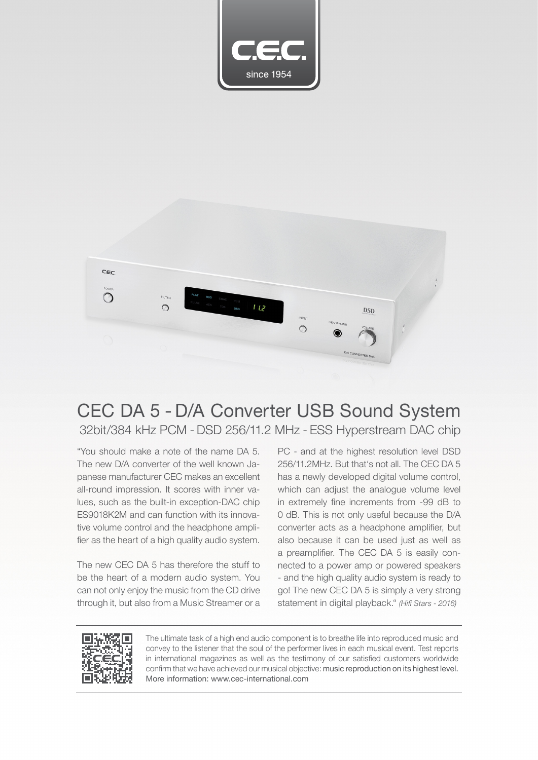



## CEC DA 5 - D/A Converter USB Sound System 32bit/384 kHz PCM - DSD 256/11.2 MHz - ESS Hyperstream DAC chip

"You should make a note of the name DA 5. The new D/A converter of the well known Japanese manufacturer CEC makes an excellent all-round impression. It scores with inner values, such as the built-in exception-DAC chip ES9018K2M and can function with its innovative volume control and the headphone amplifier as the heart of a high quality audio system.

The new CEC DA 5 has therefore the stuff to be the heart of a modern audio system. You can not only enjoy the music from the CD drive through it, but also from a Music Streamer or a

PC - and at the highest resolution level DSD 256/11.2MHz. But that's not all. The CEC DA 5 has a newly developed digital volume control, which can adjust the analogue volume level in extremely fine increments from -99 dB to 0 dB. This is not only useful because the D/A converter acts as a headphone amplifier, but also because it can be used just as well as a preamplifier. The CEC DA 5 is easily connected to a power amp or powered speakers - and the high quality audio system is ready to go! The new CEC DA 5 is simply a very strong statement in digital playback." *(Hifi Stars - 2016)*



The ultimate task of a high end audio component is to breathe life into reproduced music and convey to the listener that the soul of the performer lives in each musical event. Test reports in international magazines as well as the testimony of our satisfied customers worldwide confirm that we have achieved our musical objective: music reproduction on its highest level. More information: www.cec-international.com